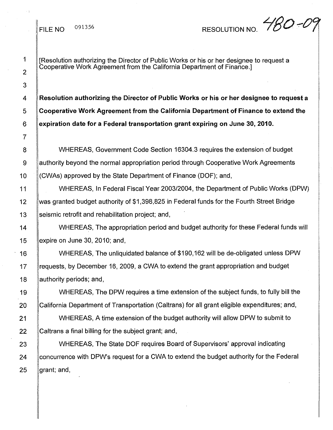## FILE NO  $^{091356}$  RESOLUTION NO.  $480 - C$

## 1 2 3 7

[Resolution authorizing the Director of Public Works or his or her designee to request a Cooperative Work Agreement from the California Department of Finance.]

4 **Resolution authoriZing the Director of Public Works or his or her designee to request a** 5 **Cooperative Work Agreement from the California Department of Finance to extend the** 6 **expiration date for a Federal transportation grant expiring on June 30, 2010.**

8 WHEREAS, Government Code Section 16304.3 requires the extension of budget 9 authority beyond the normal appropriation period through Cooperative Work Agreements 10 (CWAs) approved by the State Department of Finance (DOF); and,

11 WHEREAS, In Federal Fiscal Year *2003/2004,* the Department of Public Works (DPW) 12 was granted budget authority of \$1 ,398,825 in Federal funds for the Fourth Street Bridge 13 Seismic retrofit and rehabilitation project; and,

14 WHEREAS, The appropriation period and budget authority for these Federal funds will 15  $\parallel$  expire on June 30, 2010; and,

16 WHEREAS, The unliquidated balance of \$190,162 will be de-obligated unless DPW 17 **Frequests, by December 16, 2009, a CWA to extend the grant appropriation and budget** 18 ||authority periods; and,

19 WHEREAS, The DPW requires a time extension of the subject funds, to fully bill the 20 California Department of Transportation (Caltrans) for all grant eligible expenditures; and,

21 **WHEREAS, A time extension of the budget authority will allow DPW to submit to** 22 Caltrans a final billing for the subject grant; and,

23 WHEREAS, The State DOF requires Board of Supervisors' approval indicating 24 Concurrence with DPW's request for a CWA to extend the budget authority for the Federal  $25$  grant; and,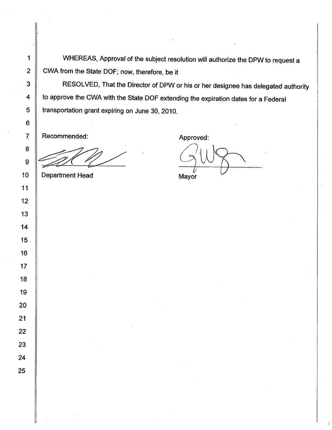1 WHEREAS, Approval of the subject resolution will authorize the DPW to request a 2 CWA from the State DOF; now, therefore, be it

3 RESOLVED, That the Director of DPW or his or her designee has delegated authority 4 to approve the CWA with the State DOF extending the expiration dates for a Federal 5 Transportation grant expiring on June 30, 2010.

Recommended:

II

Department Head

Approved:

Mayor